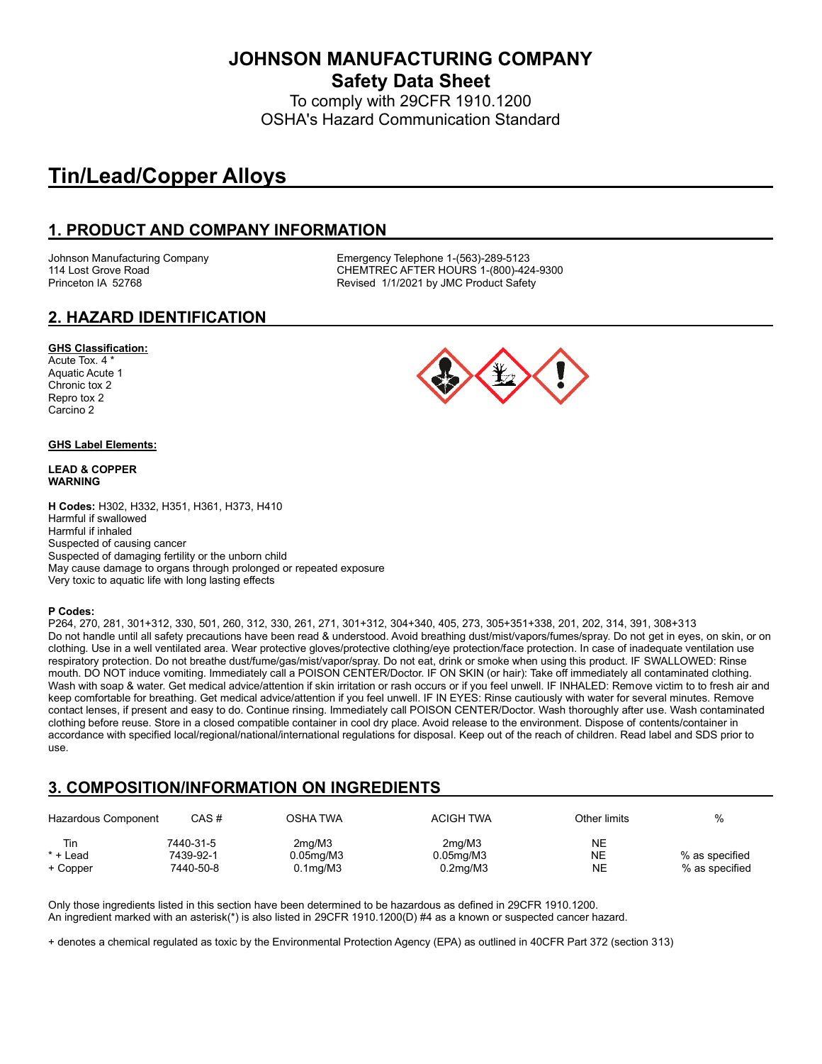**JOHNSON MANUFACTURING COMPANY Safety Data Sheet**

To comply with 29CFR 1910.1200 OSHA's Hazard Communication Standard

# **Tin/Lead/Copper Alloys**

## **1. PRODUCT AND COMPANY INFORMATION**

Johnson Manufacturing Company Emergency Telephone 1-(563)-289-5123 114 Lost Grove Road CHEMTREC AFTER HOURS 1-(800)-424-9300 Princeton IA 52768 **Revised 1/1/2021 by JMC Product Safety** 

### **2. HAZARD IDENTIFICATION**

#### **GHS Classification:**

Acute Tox. 4 \* Aquatic Acute 1 Chronic tox 2 Repro tox 2 Carcino 2

#### **GHS Label Elements:**

#### **LEAD & COPPER WARNING**

**H Codes:** H302, H332, H351, H361, H373, H410 Harmful if swallowed Harmful if inhaled Suspected of causing cancer Suspected of damaging fertility or the unborn child May cause damage to organs through prolonged or repeated exposure Very toxic to aquatic life with long lasting effects

#### **P Codes:**

P264, 270, 281, 301+312, 330, 501, 260, 312, 330, 261, 271, 301+312, 304+340, 405, 273, 305+351+338, 201, 202, 314, 391, 308+313 Do not handle until all safety precautions have been read & understood. Avoid breathing dust/mist/vapors/fumes/spray. Do not get in eyes, on skin, or on clothing. Use in a well ventilated area. Wear protective gloves/protective clothing/eye protection/face protection. In case of inadequate ventilation use respiratory protection. Do not breathe dust/fume/gas/mist/vapor/spray. Do not eat, drink or smoke when using this product. IF SWALLOWED: Rinse mouth. DO NOT induce vomiting. Immediately call a POISON CENTER/Doctor. IF ON SKIN (or hair): Take off immediately all contaminated clothing. Wash with soap & water. Get medical advice/attention if skin irritation or rash occurs or if you feel unwell. IF INHALED: Remove victim to to fresh air and keep comfortable for breathing. Get medical advice/attention if you feel unwell. IF IN EYES: Rinse cautiously with water for several minutes. Remove contact lenses, if present and easy to do. Continue rinsing. Immediately call POISON CENTER/Doctor. Wash thoroughly after use. Wash contaminated clothing before reuse. Store in a closed compatible container in cool dry place. Avoid release to the environment. Dispose of contents/container in accordance with specified local/regional/national/international regulations for disposal. Keep out of the reach of children. Read label and SDS prior to use.

## **3. COMPOSITION/INFORMATION ON INGREDIENTS**

| Hazardous Component | CAS #     | OSHA TWA        | <b>ACIGH TWA</b>      | Other limits | %              |
|---------------------|-----------|-----------------|-----------------------|--------------|----------------|
| Tin                 | 7440-31-5 | 2ma/M3          | 2ma/M3                | NE           |                |
| $*$ + Lead          | 7439-92-1 | $0.05$ mg/M $3$ | $0.05$ mg/M $3$       | NE           | % as specified |
| + Copper            | 7440-50-8 | $0.1$ mg/M $3$  | 0.2 <sub>mq</sub> /M3 | NE           | % as specified |

Only those ingredients listed in this section have been determined to be hazardous as defined in 29CFR 1910.1200. An ingredient marked with an asterisk(\*) is also listed in 29CFR 1910.1200(D) #4 as a known or suspected cancer hazard.

+ denotes a chemical regulated as toxic by the Environmental Protection Agency (EPA) as outlined in 40CFR Part 372 (section 313)

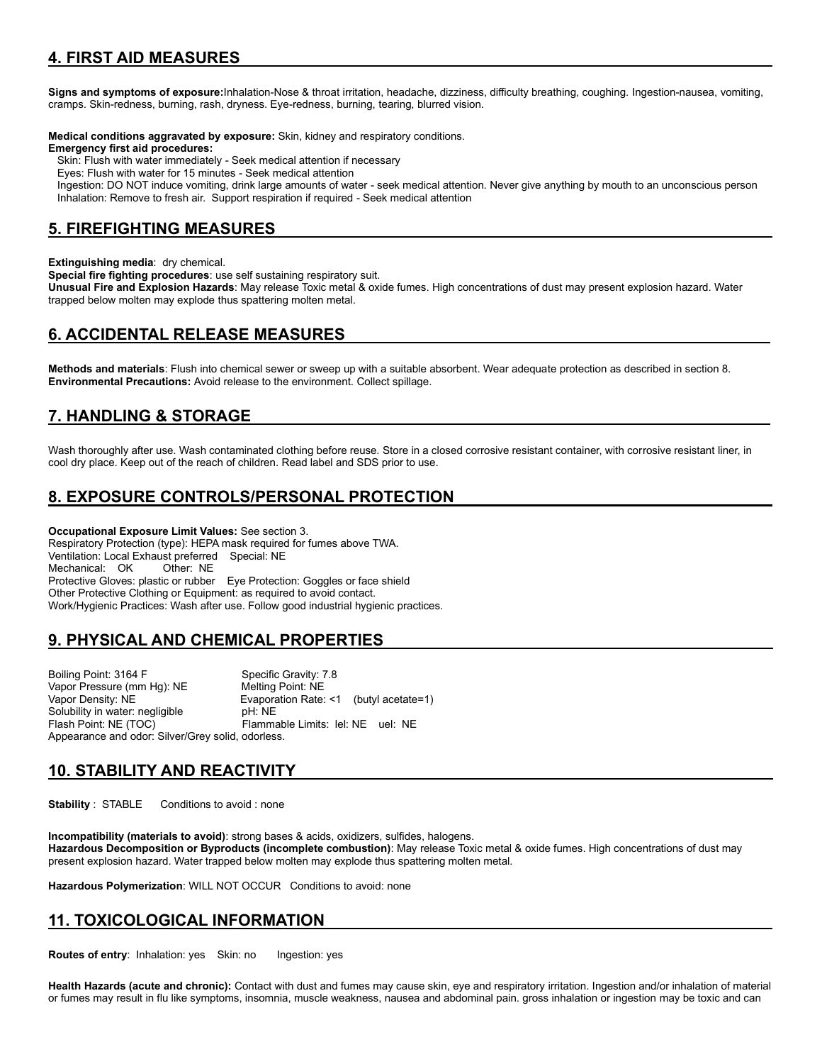## **4. FIRST AID MEASURES**

**Signs and symptoms of exposure:**Inhalation-Nose & throat irritation, headache, dizziness, difficulty breathing, coughing. Ingestion-nausea, vomiting, cramps. Skin-redness, burning, rash, dryness. Eye-redness, burning, tearing, blurred vision.

**Medical conditions aggravated by exposure:** Skin, kidney and respiratory conditions.

**Emergency first aid procedures:**

Skin: Flush with water immediately - Seek medical attention if necessary

Eyes: Flush with water for 15 minutes - Seek medical attention

 Ingestion: DO NOT induce vomiting, drink large amounts of water - seek medical attention. Never give anything by mouth to an unconscious person Inhalation: Remove to fresh air. Support respiration if required - Seek medical attention

### **5. FIREFIGHTING MEASURES**

**Extinguishing media**: dry chemical.

**Special fire fighting procedures**: use self sustaining respiratory suit.

**Unusual Fire and Explosion Hazards**: May release Toxic metal & oxide fumes. High concentrations of dust may present explosion hazard. Water trapped below molten may explode thus spattering molten metal.

## **6. ACCIDENTAL RELEASE MEASURES**

**Methods and materials**: Flush into chemical sewer or sweep up with a suitable absorbent. Wear adequate protection as described in section 8. **Environmental Precautions:** Avoid release to the environment. Collect spillage.

## **7. HANDLING & STORAGE**

Wash thoroughly after use. Wash contaminated clothing before reuse. Store in a closed corrosive resistant container, with corrosive resistant liner, in cool dry place. Keep out of the reach of children. Read label and SDS prior to use.

## **8. EXPOSURE CONTROLS/PERSONAL PROTECTION**

**Occupational Exposure Limit Values:** See section 3. Respiratory Protection (type): HEPA mask required for fumes above TWA. Ventilation: Local Exhaust preferred Special: NE Mechanical: OK Other: NE Protective Gloves: plastic or rubber Eye Protection: Goggles or face shield Other Protective Clothing or Equipment: as required to avoid contact. Work/Hygienic Practices: Wash after use. Follow good industrial hygienic practices.

## **9. PHYSICAL AND CHEMICAL PROPERTIES**

Boiling Point: 3164 F Specific Gravity: 7.8 Vapor Pressure (mm Hg): NE Melting Point: NE Vapor Density: NE<br>
Solubility in water: negligible<br>
pH: NE<br>
pH: NE Solubility in water: negligible<br>Flash Point: NE (TOC) Flammable Limits: lel: NE uel: NE Appearance and odor: Silver/Grey solid, odorless.

## **10. STABILITY AND REACTIVITY**

**Stability** : STABLE Conditions to avoid : none

**Incompatibility (materials to avoid)**: strong bases & acids, oxidizers, sulfides, halogens. **Hazardous Decomposition or Byproducts (incomplete combustion)**: May release Toxic metal & oxide fumes. High concentrations of dust may present explosion hazard. Water trapped below molten may explode thus spattering molten metal.

**Hazardous Polymerization**: WILL NOT OCCUR Conditions to avoid: none

## **11. TOXICOLOGICAL INFORMATION**

**Routes of entry: Inhalation: yes Skin: no Ingestion: yes** 

**Health Hazards (acute and chronic):** Contact with dust and fumes may cause skin, eye and respiratory irritation. Ingestion and/or inhalation of material or fumes may result in flu like symptoms, insomnia, muscle weakness, nausea and abdominal pain. gross inhalation or ingestion may be toxic and can